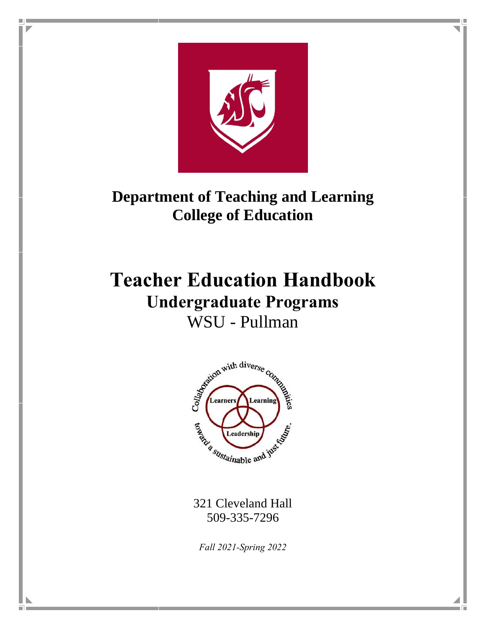

п

# **Department of Teaching and Learning College of Education**

# **Teacher Education Handbook Undergraduate Programs** WSU - Pullman



321 Cleveland Hall 509-335-7296

*Fall 2021-Spring 2022*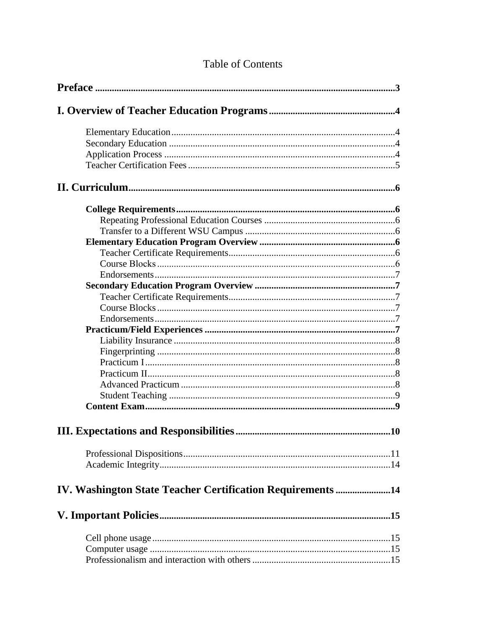| IV. Washington State Teacher Certification Requirements 14 |  |
|------------------------------------------------------------|--|
|                                                            |  |
|                                                            |  |
|                                                            |  |
|                                                            |  |

# **Table of Contents**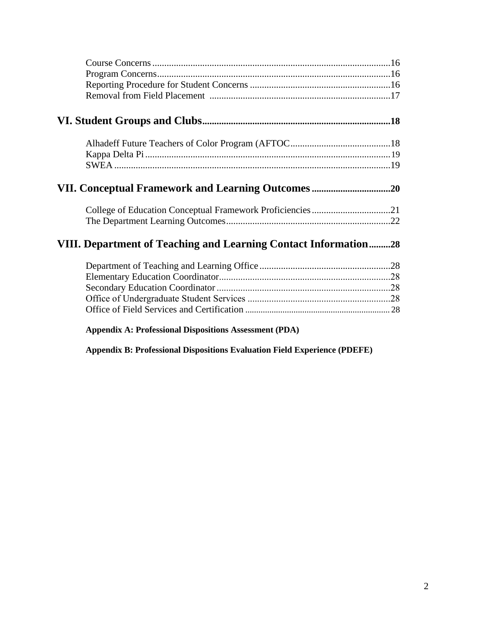| College of Education Conceptual Framework Proficiencies21       |  |
|-----------------------------------------------------------------|--|
|                                                                 |  |
| VIII. Department of Teaching and Learning Contact Information28 |  |
|                                                                 |  |
|                                                                 |  |
|                                                                 |  |
|                                                                 |  |
|                                                                 |  |
| <b>Appendix A: Professional Dispositions Assessment (PDA)</b>   |  |

**Appendix B: Professional Dispositions Evaluation Field Experience (PDEFE)**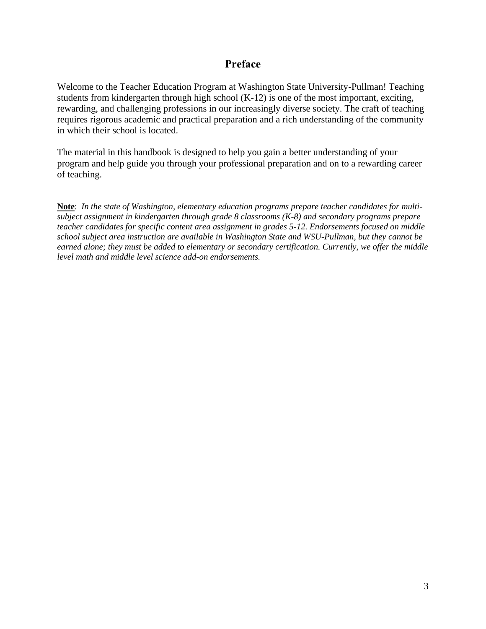## **Preface**

Welcome to the Teacher Education Program at Washington State University-Pullman! Teaching students from kindergarten through high school (K-12) is one of the most important, exciting, rewarding, and challenging professions in our increasingly diverse society. The craft of teaching requires rigorous academic and practical preparation and a rich understanding of the community in which their school is located.

The material in this handbook is designed to help you gain a better understanding of your program and help guide you through your professional preparation and on to a rewarding career of teaching.

**Note**: *In the state of Washington, elementary education programs prepare teacher candidates for multisubject assignment in kindergarten through grade 8 classrooms (K-8) and secondary programs prepare teacher candidates for specific content area assignment in grades 5-12. Endorsements focused on middle school subject area instruction are available in Washington State and WSU-Pullman, but they cannot be earned alone; they must be added to elementary or secondary certification. Currently, we offer the middle level math and middle level science add-on endorsements.*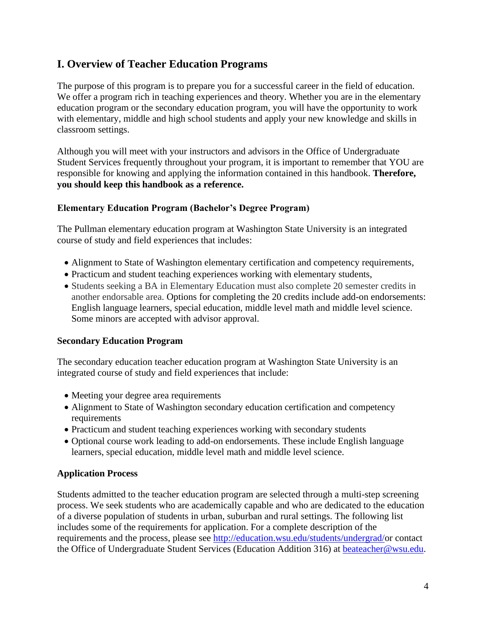# **I. Overview of Teacher Education Programs**

The purpose of this program is to prepare you for a successful career in the field of education. We offer a program rich in teaching experiences and theory. Whether you are in the elementary education program or the secondary education program, you will have the opportunity to work with elementary, middle and high school students and apply your new knowledge and skills in classroom settings.

Although you will meet with your instructors and advisors in the Office of Undergraduate Student Services frequently throughout your program, it is important to remember that YOU are responsible for knowing and applying the information contained in this handbook. **Therefore, you should keep this handbook as a reference.**

#### **Elementary Education Program (Bachelor's Degree Program)**

The Pullman elementary education program at Washington State University is an integrated course of study and field experiences that includes:

- Alignment to State of Washington elementary certification and competency requirements,
- Practicum and student teaching experiences working with elementary students,
- Students seeking a BA in Elementary Education must also complete 20 semester credits in another endorsable area. Options for completing the 20 credits include add-on endorsements: English language learners, special education, middle level math and middle level science. Some minors are accepted with advisor approval.

#### **Secondary Education Program**

The secondary education teacher education program at Washington State University is an integrated course of study and field experiences that include:

- Meeting your degree area requirements
- Alignment to State of Washington secondary education certification and competency requirements
- Practicum and student teaching experiences working with secondary students
- Optional course work leading to add-on endorsements. These include English language learners, special education, middle level math and middle level science.

#### **Application Process**

Students admitted to the teacher education program are selected through a multi-step screening process. We seek students who are academically capable and who are dedicated to the education of a diverse population of students in urban, suburban and rural settings. The following list includes some of the requirements for application. For a complete description of the requirements and the process, please see [http://education.wsu.edu/students/undergrad/o](http://education.wsu.edu/students/undergrad/)r contact the Office of Undergraduate Student Services (Education Addition 316) at **beateacher@wsu.edu.**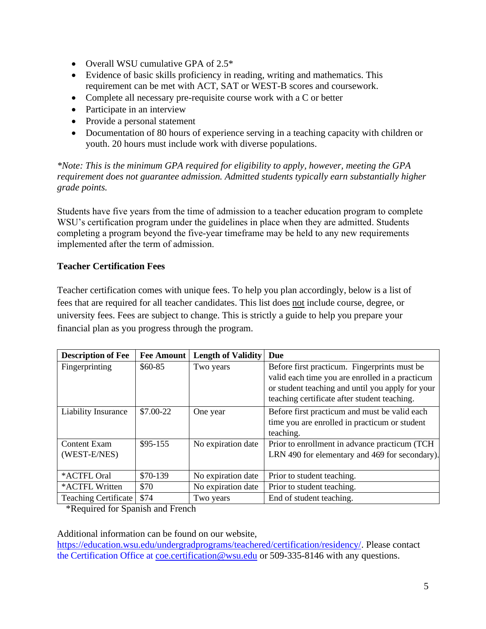- Overall WSU cumulative GPA of 2.5<sup>\*</sup>
- Evidence of basic skills proficiency in reading, writing and mathematics. This requirement can be met with ACT, SAT or WEST-B scores and coursework.
- Complete all necessary pre-requisite course work with a C or better
- Participate in an interview
- Provide a personal statement
- Documentation of 80 hours of experience serving in a teaching capacity with children or youth. 20 hours must include work with diverse populations.

*\*Note: This is the minimum GPA required for eligibility to apply, however, meeting the GPA requirement does not guarantee admission. Admitted students typically earn substantially higher grade points.*

Students have five years from the time of admission to a teacher education program to complete WSU's certification program under the guidelines in place when they are admitted. Students completing a program beyond the five-year timeframe may be held to any new requirements implemented after the term of admission.

#### **Teacher Certification Fees**

Teacher certification comes with unique fees. To help you plan accordingly, below is a list of fees that are required for all teacher candidates. This list does not include course, degree, or university fees. Fees are subject to change. This is strictly a guide to help you prepare your financial plan as you progress through the program.

| <b>Description of Fee</b>   | <b>Fee Amount</b> | <b>Length of Validity</b> | Due                                              |
|-----------------------------|-------------------|---------------------------|--------------------------------------------------|
| Fingerprinting              | $$60-85$          | Two years                 | Before first practicum. Fingerprints must be     |
|                             |                   |                           | valid each time you are enrolled in a practicum  |
|                             |                   |                           | or student teaching and until you apply for your |
|                             |                   |                           | teaching certificate after student teaching.     |
| <b>Liability Insurance</b>  | \$7.00-22         | One year                  | Before first practicum and must be valid each    |
|                             |                   |                           | time you are enrolled in practicum or student    |
|                             |                   |                           | teaching.                                        |
| <b>Content Exam</b>         | $$95-155$         | No expiration date        | Prior to enrollment in advance practicum (TCH    |
| (WEST-E/NES)                |                   |                           | LRN 490 for elementary and 469 for secondary).   |
|                             |                   |                           |                                                  |
| *ACTFL Oral                 | \$70-139          | No expiration date        | Prior to student teaching.                       |
| *ACTFL Written              | \$70              | No expiration date        | Prior to student teaching.                       |
| <b>Teaching Certificate</b> | \$74              | Two years                 | End of student teaching.                         |

\*Required for Spanish and French

Additional information can be found on our website,

[https://education.wsu.edu/undergradprograms/teachered/certification/residency/.](https://education.wsu.edu/undergradprograms/teachered/certification/residency/) Please contact the Certification Office at [coe.certification@wsu.edu](mailto:coe.certification@wsu.edu) or 509-335-8146 with any questions.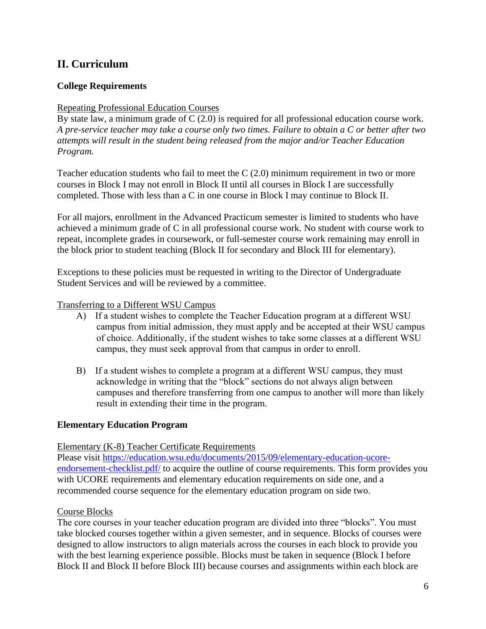# **II. Curriculum**

#### **College Requirements**

#### Repeating Professional Education Courses

By state law, a minimum grade of C (2.0) is required for all professional education course work. *A pre-service teacher may take a course only two times. Failure to obtain a C or better after two attempts will result in the student being released from the major and/or Teacher Education Program.*

Teacher education students who fail to meet the C (2.0) minimum requirement in two or more courses in Block I may not enroll in Block II until all courses in Block I are successfully completed. Those with less than a C in one course in Block I may continue to Block II.

For all majors, enrollment in the Advanced Practicum semester is limited to students who have achieved a minimum grade of C in all professional course work. No student with course work to repeat, incomplete grades in coursework, or full-semester course work remaining may enroll in the block prior to student teaching (Block II for secondary and Block III for elementary).

Exceptions to these policies must be requested in writing to the Director of Undergraduate Student Services and will be reviewed by a committee.

#### Transferring to a Different WSU Campus

- A) If a student wishes to complete the Teacher Education program at a different WSU campus from initial admission, they must apply and be accepted at their WSU campus of choice. Additionally, if the student wishes to take some classes at a different WSU campus, they must seek approval from that campus in order to enroll.
- B) If a student wishes to complete a program at a different WSU campus, they must acknowledge in writing that the "block" sections do not always align between campuses and therefore transferring from one campus to another will more than likely result in extending their time in the program.

#### **Elementary Education Program**

Elementary (K-8) Teacher Certificate Requirements

Please visit [https://education.wsu.edu/documents/2015/09/elementary-education-ucore](https://education.wsu.edu/documents/2015/09/elementary-education-ucore-endorsement-checklist.pdf/)[endorsement-checklist.pdf/](https://education.wsu.edu/documents/2015/09/elementary-education-ucore-endorsement-checklist.pdf/) to acquire the outline of course requirements. This form provides you with UCORE requirements and elementary education requirements on side one, and a recommended course sequence for the elementary education program on side two.

#### Course Blocks

The core courses in your teacher education program are divided into three "blocks". You must take blocked courses together within a given semester, and in sequence. Blocks of courses were designed to allow instructors to align materials across the courses in each block to provide you with the best learning experience possible. Blocks must be taken in sequence (Block I before Block II and Block II before Block III) because courses and assignments within each block are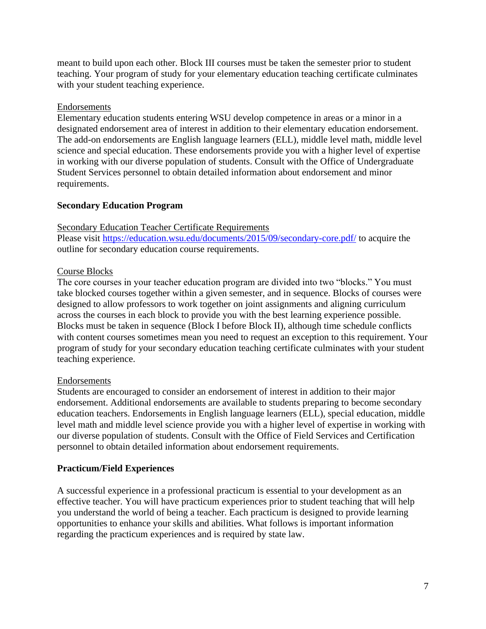meant to build upon each other. Block III courses must be taken the semester prior to student teaching. Your program of study for your elementary education teaching certificate culminates with your student teaching experience.

#### Endorsements

Elementary education students entering WSU develop competence in areas or a minor in a designated endorsement area of interest in addition to their elementary education endorsement. The add-on endorsements are English language learners (ELL), middle level math, middle level science and special education. These endorsements provide you with a higher level of expertise in working with our diverse population of students. Consult with the Office of Undergraduate Student Services personnel to obtain detailed information about endorsement and minor requirements.

#### **Secondary Education Program**

#### Secondary Education Teacher Certificate Requirements

Please visit<https://education.wsu.edu/documents/2015/09/secondary-core.pdf/> to acquire the outline for secondary education course requirements.

#### Course Blocks

The core courses in your teacher education program are divided into two "blocks." You must take blocked courses together within a given semester, and in sequence. Blocks of courses were designed to allow professors to work together on joint assignments and aligning curriculum across the courses in each block to provide you with the best learning experience possible. Blocks must be taken in sequence (Block I before Block II), although time schedule conflicts with content courses sometimes mean you need to request an exception to this requirement. Your program of study for your secondary education teaching certificate culminates with your student teaching experience.

#### Endorsements

Students are encouraged to consider an endorsement of interest in addition to their major endorsement. Additional endorsements are available to students preparing to become secondary education teachers. Endorsements in English language learners (ELL), special education, middle level math and middle level science provide you with a higher level of expertise in working with our diverse population of students. Consult with the Office of Field Services and Certification personnel to obtain detailed information about endorsement requirements.

#### **Practicum/Field Experiences**

A successful experience in a professional practicum is essential to your development as an effective teacher. You will have practicum experiences prior to student teaching that will help you understand the world of being a teacher. Each practicum is designed to provide learning opportunities to enhance your skills and abilities. What follows is important information regarding the practicum experiences and is required by state law.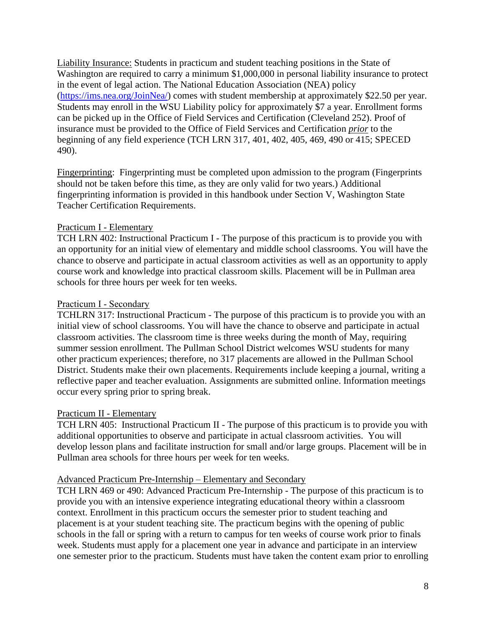Liability Insurance: Students in practicum and student teaching positions in the State of Washington are required to carry a minimum \$1,000,000 in personal liability insurance to protect in the event of legal action. The National Education Association (NEA) policy [\(https://ims.nea.org/JoinNea/\)](https://ims.nea.org/JoinNea/) comes with student membership at approximately \$22.50 per year. Students may enroll in the WSU Liability policy for approximately \$7 a year. Enrollment forms can be picked up in the Office of Field Services and Certification (Cleveland 252). Proof of insurance must be provided to the Office of Field Services and Certification *prior* to the beginning of any field experience (TCH LRN 317, 401, 402, 405, 469, 490 or 415; SPECED 490).

Fingerprinting: Fingerprinting must be completed upon admission to the program (Fingerprints should not be taken before this time, as they are only valid for two years.) Additional fingerprinting information is provided in this handbook under Section V, Washington State Teacher Certification Requirements.

#### Practicum I - Elementary

TCH LRN 402: Instructional Practicum I - The purpose of this practicum is to provide you with an opportunity for an initial view of elementary and middle school classrooms. You will have the chance to observe and participate in actual classroom activities as well as an opportunity to apply course work and knowledge into practical classroom skills. Placement will be in Pullman area schools for three hours per week for ten weeks.

#### Practicum I - Secondary

TCHLRN 317: Instructional Practicum - The purpose of this practicum is to provide you with an initial view of school classrooms. You will have the chance to observe and participate in actual classroom activities. The classroom time is three weeks during the month of May, requiring summer session enrollment. The Pullman School District welcomes WSU students for many other practicum experiences; therefore, no 317 placements are allowed in the Pullman School District. Students make their own placements. Requirements include keeping a journal, writing a reflective paper and teacher evaluation. Assignments are submitted online. Information meetings occur every spring prior to spring break.

#### Practicum II - Elementary

TCH LRN 405: Instructional Practicum II - The purpose of this practicum is to provide you with additional opportunities to observe and participate in actual classroom activities. You will develop lesson plans and facilitate instruction for small and/or large groups. Placement will be in Pullman area schools for three hours per week for ten weeks.

#### Advanced Practicum Pre-Internship – Elementary and Secondary

TCH LRN 469 or 490: Advanced Practicum Pre-Internship - The purpose of this practicum is to provide you with an intensive experience integrating educational theory within a classroom context. Enrollment in this practicum occurs the semester prior to student teaching and placement is at your student teaching site. The practicum begins with the opening of public schools in the fall or spring with a return to campus for ten weeks of course work prior to finals week. Students must apply for a placement one year in advance and participate in an interview one semester prior to the practicum. Students must have taken the content exam prior to enrolling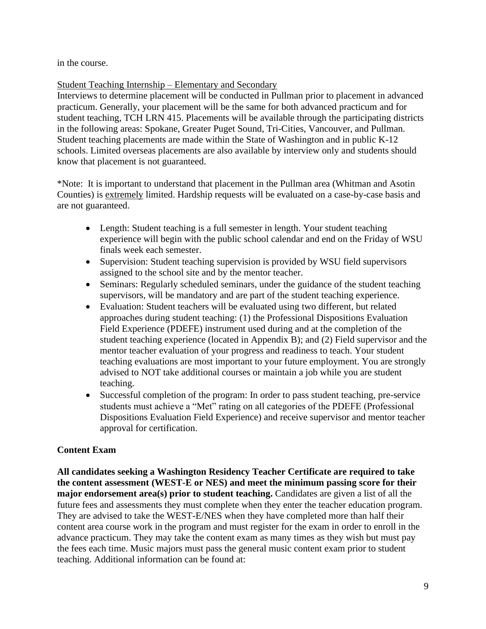in the course.

#### Student Teaching Internship – Elementary and Secondary

Interviews to determine placement will be conducted in Pullman prior to placement in advanced practicum. Generally, your placement will be the same for both advanced practicum and for student teaching, TCH LRN 415. Placements will be available through the participating districts in the following areas: Spokane, Greater Puget Sound, Tri-Cities, Vancouver, and Pullman. Student teaching placements are made within the State of Washington and in public K-12 schools. Limited overseas placements are also available by interview only and students should know that placement is not guaranteed.

\*Note: It is important to understand that placement in the Pullman area (Whitman and Asotin Counties) is extremely limited. Hardship requests will be evaluated on a case-by-case basis and are not guaranteed.

- Length: Student teaching is a full semester in length. Your student teaching experience will begin with the public school calendar and end on the Friday of WSU finals week each semester.
- Supervision: Student teaching supervision is provided by WSU field supervisors assigned to the school site and by the mentor teacher.
- Seminars: Regularly scheduled seminars, under the guidance of the student teaching supervisors, will be mandatory and are part of the student teaching experience.
- Evaluation: Student teachers will be evaluated using two different, but related approaches during student teaching: (1) the Professional Dispositions Evaluation Field Experience (PDEFE) instrument used during and at the completion of the student teaching experience (located in Appendix B); and (2) Field supervisor and the mentor teacher evaluation of your progress and readiness to teach. Your student teaching evaluations are most important to your future employment. You are strongly advised to NOT take additional courses or maintain a job while you are student teaching.
- Successful completion of the program: In order to pass student teaching, pre-service students must achieve a "Met" rating on all categories of the PDEFE (Professional Dispositions Evaluation Field Experience) and receive supervisor and mentor teacher approval for certification.

## **Content Exam**

**All candidates seeking a Washington Residency Teacher Certificate are required to take the content assessment (WEST-E or NES) and meet the minimum passing score for their major endorsement area(s)** prior to student teaching. Candidates are given a list of all the future fees and assessments they must complete when they enter the teacher education program. They are advised to take the WEST-E/NES when they have completed more than half their content area course work in the program and must register for the exam in order to enroll in the advance practicum. They may take the content exam as many times as they wish but must pay the fees each time. Music majors must pass the general music content exam prior to student teaching. Additional information can be found at: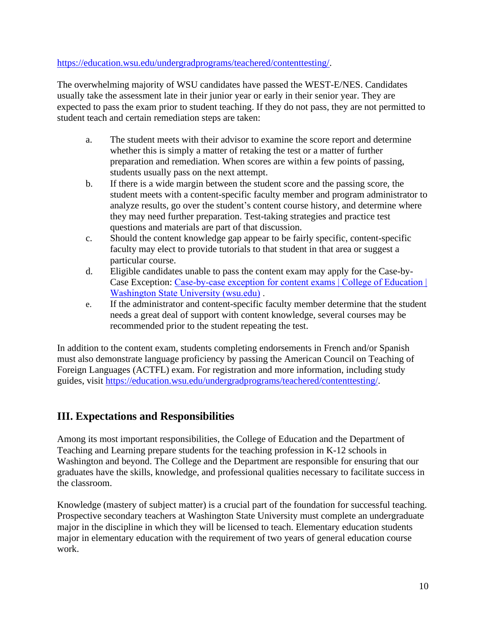#### [https://education.wsu.edu/undergradprograms/teachered/contenttesting/.](https://education.wsu.edu/undergradprograms/teachered/contenttesting/)

The overwhelming majority of WSU candidates have passed the WEST-E/NES. Candidates usually take the assessment late in their junior year or early in their senior year. They are expected to pass the exam prior to student teaching. If they do not pass, they are not permitted to student teach and certain remediation steps are taken:

- a. The student meets with their advisor to examine the score report and determine whether this is simply a matter of retaking the test or a matter of further preparation and remediation. When scores are within a few points of passing, students usually pass on the next attempt.
- b. If there is a wide margin between the student score and the passing score, the student meets with a content-specific faculty member and program administrator to analyze results, go over the student's content course history, and determine where they may need further preparation. Test-taking strategies and practice test questions and materials are part of that discussion.
- c. Should the content knowledge gap appear to be fairly specific, content-specific faculty may elect to provide tutorials to that student in that area or suggest a particular course.
- d. Eligible candidates unable to pass the content exam may apply for the Case-by-Case Exception: [Case-by-case exception for content exams | College of Education |](https://education.wsu.edu/undergradprograms/teachered/contentexamexception/)  [Washington State University \(wsu.edu\)](https://education.wsu.edu/undergradprograms/teachered/contentexamexception/) .
- e. If the administrator and content-specific faculty member determine that the student needs a great deal of support with content knowledge, several courses may be recommended prior to the student repeating the test.

In addition to the content exam, students completing endorsements in French and/or Spanish must also demonstrate language proficiency by passing the American Council on Teaching of Foreign Languages (ACTFL) exam. For registration and more information, including study guides, visit [https://education.wsu.edu/undergradprograms/teachered/contenttesting/.](https://education.wsu.edu/undergradprograms/teachered/contenttesting/)

# **III. Expectations and Responsibilities**

Among its most important responsibilities, the College of Education and the Department of Teaching and Learning prepare students for the teaching profession in K-12 schools in Washington and beyond. The College and the Department are responsible for ensuring that our graduates have the skills, knowledge, and professional qualities necessary to facilitate success in the classroom.

Knowledge (mastery of subject matter) is a crucial part of the foundation for successful teaching. Prospective secondary teachers at Washington State University must complete an undergraduate major in the discipline in which they will be licensed to teach. Elementary education students major in elementary education with the requirement of two years of general education course work.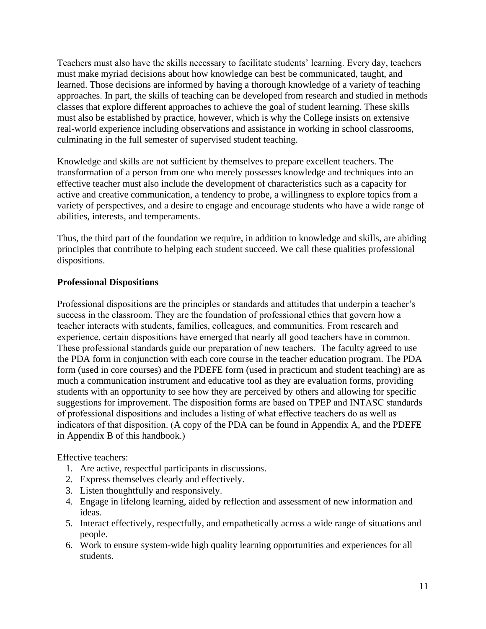Teachers must also have the skills necessary to facilitate students' learning. Every day, teachers must make myriad decisions about how knowledge can best be communicated, taught, and learned. Those decisions are informed by having a thorough knowledge of a variety of teaching approaches. In part, the skills of teaching can be developed from research and studied in methods classes that explore different approaches to achieve the goal of student learning. These skills must also be established by practice, however, which is why the College insists on extensive real-world experience including observations and assistance in working in school classrooms, culminating in the full semester of supervised student teaching.

Knowledge and skills are not sufficient by themselves to prepare excellent teachers. The transformation of a person from one who merely possesses knowledge and techniques into an effective teacher must also include the development of characteristics such as a capacity for active and creative communication, a tendency to probe, a willingness to explore topics from a variety of perspectives, and a desire to engage and encourage students who have a wide range of abilities, interests, and temperaments.

Thus, the third part of the foundation we require, in addition to knowledge and skills, are abiding principles that contribute to helping each student succeed. We call these qualities professional dispositions.

#### **Professional Dispositions**

Professional dispositions are the principles or standards and attitudes that underpin a teacher's success in the classroom. They are the foundation of professional ethics that govern how a teacher interacts with students, families, colleagues, and communities. From research and experience, certain dispositions have emerged that nearly all good teachers have in common. These professional standards guide our preparation of new teachers.The faculty agreed to use the PDA form in conjunction with each core course in the teacher education program. The PDA form (used in core courses) and the PDEFE form (used in practicum and student teaching) are as much a communication instrument and educative tool as they are evaluation forms, providing students with an opportunity to see how they are perceived by others and allowing for specific suggestions for improvement. The disposition forms are based on TPEP and INTASC standards of professional dispositions and includes a listing of what effective teachers do as well as indicators of that disposition. (A copy of the PDA can be found in Appendix A, and the PDEFE in Appendix B of this handbook.)

Effective teachers:

- 1. Are active, respectful participants in discussions.
- 2. Express themselves clearly and effectively.
- 3. Listen thoughtfully and responsively.
- 4. Engage in lifelong learning, aided by reflection and assessment of new information and ideas.
- 5. Interact effectively, respectfully, and empathetically across a wide range of situations and people.
- 6. Work to ensure system-wide high quality learning opportunities and experiences for all students.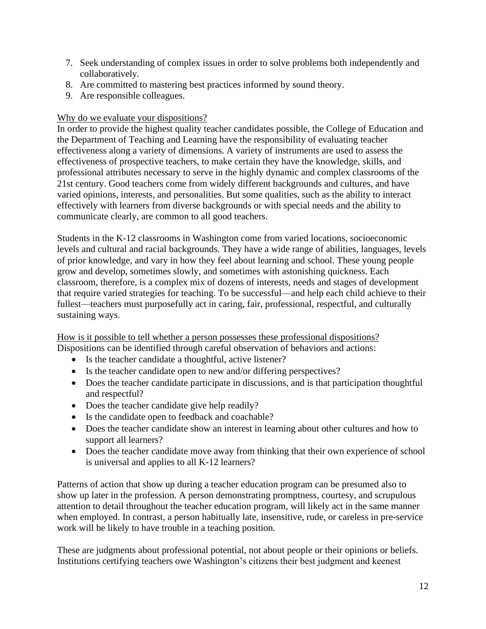- 7. Seek understanding of complex issues in order to solve problems both independently and collaboratively.
- 8. Are committed to mastering best practices informed by sound theory.
- 9. Are responsible colleagues.

#### Why do we evaluate your dispositions?

In order to provide the highest quality teacher candidates possible, the College of Education and the Department of Teaching and Learning have the responsibility of evaluating teacher effectiveness along a variety of dimensions. A variety of instruments are used to assess the effectiveness of prospective teachers, to make certain they have the knowledge, skills, and professional attributes necessary to serve in the highly dynamic and complex classrooms of the 21st century. Good teachers come from widely different backgrounds and cultures, and have varied opinions, interests, and personalities. But some qualities, such as the ability to interact effectively with learners from diverse backgrounds or with special needs and the ability to communicate clearly, are common to all good teachers.

Students in the K-12 classrooms in Washington come from varied locations, socioeconomic levels and cultural and racial backgrounds. They have a wide range of abilities, languages, levels of prior knowledge, and vary in how they feel about learning and school. These young people grow and develop, sometimes slowly, and sometimes with astonishing quickness. Each classroom, therefore, is a complex mix of dozens of interests, needs and stages of development that require varied strategies for teaching. To be successful—and help each child achieve to their fullest—teachers must purposefully act in caring, fair, professional, respectful, and culturally sustaining ways.

How is it possible to tell whether a person possesses these professional dispositions? Dispositions can be identified through careful observation of behaviors and actions:

- Is the teacher candidate a thoughtful, active listener?
- Is the teacher candidate open to new and/or differing perspectives?
- Does the teacher candidate participate in discussions, and is that participation thoughtful and respectful?
- Does the teacher candidate give help readily?
- Is the candidate open to feedback and coachable?
- Does the teacher candidate show an interest in learning about other cultures and how to support all learners?
- Does the teacher candidate move away from thinking that their own experience of school is universal and applies to all K-12 learners?

Patterns of action that show up during a teacher education program can be presumed also to show up later in the profession. A person demonstrating promptness, courtesy, and scrupulous attention to detail throughout the teacher education program, will likely act in the same manner when employed. In contrast, a person habitually late, insensitive, rude, or careless in pre-service work will be likely to have trouble in a teaching position.

These are judgments about professional potential, not about people or their opinions or beliefs. Institutions certifying teachers owe Washington's citizens their best judgment and keenest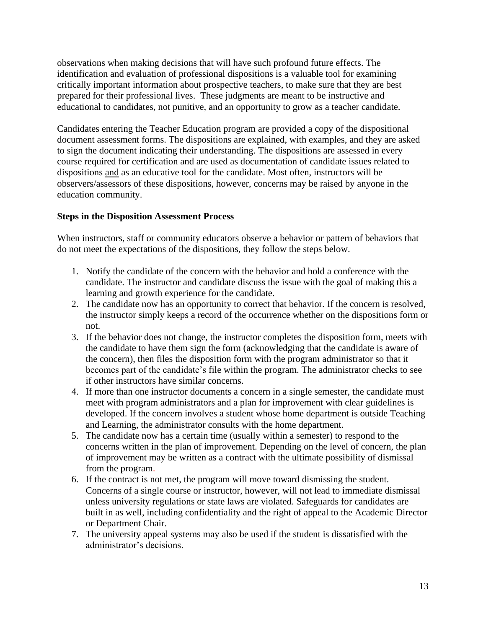observations when making decisions that will have such profound future effects. The identification and evaluation of professional dispositions is a valuable tool for examining critically important information about prospective teachers, to make sure that they are best prepared for their professional lives. These judgments are meant to be instructive and educational to candidates, not punitive, and an opportunity to grow as a teacher candidate.

Candidates entering the Teacher Education program are provided a copy of the dispositional document assessment forms. The dispositions are explained, with examples, and they are asked to sign the document indicating their understanding. The dispositions are assessed in every course required for certification and are used as documentation of candidate issues related to dispositions and as an educative tool for the candidate. Most often, instructors will be observers/assessors of these dispositions, however, concerns may be raised by anyone in the education community.

#### **Steps in the Disposition Assessment Process**

When instructors, staff or community educators observe a behavior or pattern of behaviors that do not meet the expectations of the dispositions, they follow the steps below.

- 1. Notify the candidate of the concern with the behavior and hold a conference with the candidate. The instructor and candidate discuss the issue with the goal of making this a learning and growth experience for the candidate.
- 2. The candidate now has an opportunity to correct that behavior. If the concern is resolved, the instructor simply keeps a record of the occurrence whether on the dispositions form or not.
- 3. If the behavior does not change, the instructor completes the disposition form, meets with the candidate to have them sign the form (acknowledging that the candidate is aware of the concern), then files the disposition form with the program administrator so that it becomes part of the candidate's file within the program. The administrator checks to see if other instructors have similar concerns.
- 4. If more than one instructor documents a concern in a single semester, the candidate must meet with program administrators and a plan for improvement with clear guidelines is developed. If the concern involves a student whose home department is outside Teaching and Learning, the administrator consults with the home department.
- 5. The candidate now has a certain time (usually within a semester) to respond to the concerns written in the plan of improvement. Depending on the level of concern, the plan of improvement may be written as a contract with the ultimate possibility of dismissal from the program.
- 6. If the contract is not met, the program will move toward dismissing the student. Concerns of a single course or instructor, however, will not lead to immediate dismissal unless university regulations or state laws are violated. Safeguards for candidates are built in as well, including confidentiality and the right of appeal to the Academic Director or Department Chair.
- 7. The university appeal systems may also be used if the student is dissatisfied with the administrator's decisions.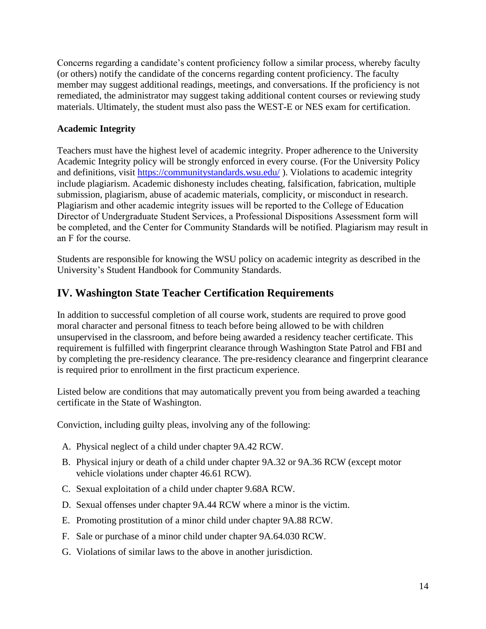Concerns regarding a candidate's content proficiency follow a similar process, whereby faculty (or others) notify the candidate of the concerns regarding content proficiency. The faculty member may suggest additional readings, meetings, and conversations. If the proficiency is not remediated, the administrator may suggest taking additional content courses or reviewing study materials. Ultimately, the student must also pass the WEST-E or NES exam for certification.

#### **Academic Integrity**

Teachers must have the highest level of academic integrity. Proper adherence to the University Academic Integrity policy will be strongly enforced in every course. (For the University Policy and definitions, visit <https://communitystandards.wsu.edu/>). Violations to academic integrity include plagiarism. Academic dishonesty includes cheating, falsification, fabrication, multiple submission, plagiarism, abuse of academic materials, complicity, or misconduct in research. Plagiarism and other academic integrity issues will be reported to the College of Education Director of Undergraduate Student Services, a Professional Dispositions Assessment form will be completed, and the Center for Community Standards will be notified. Plagiarism may result in an F for the course.

Students are responsible for knowing the WSU policy on academic integrity as described in the University's Student Handbook for Community Standards.

# **IV. Washington State Teacher Certification Requirements**

In addition to successful completion of all course work, students are required to prove good moral character and personal fitness to teach before being allowed to be with children unsupervised in the classroom, and before being awarded a residency teacher certificate. This requirement is fulfilled with fingerprint clearance through Washington State Patrol and FBI and by completing the pre-residency clearance. The pre-residency clearance and fingerprint clearance is required prior to enrollment in the first practicum experience.

Listed below are conditions that may automatically prevent you from being awarded a teaching certificate in the State of Washington.

Conviction, including guilty pleas, involving any of the following:

- A. Physical neglect of a child under chapter 9A.42 RCW.
- B. Physical injury or death of a child under chapter 9A.32 or 9A.36 RCW (except motor vehicle violations under chapter 46.61 RCW).
- C. Sexual exploitation of a child under chapter 9.68A RCW.
- D. Sexual offenses under chapter 9A.44 RCW where a minor is the victim.
- E. Promoting prostitution of a minor child under chapter 9A.88 RCW.
- F. Sale or purchase of a minor child under chapter 9A.64.030 RCW.
- G. Violations of similar laws to the above in another jurisdiction.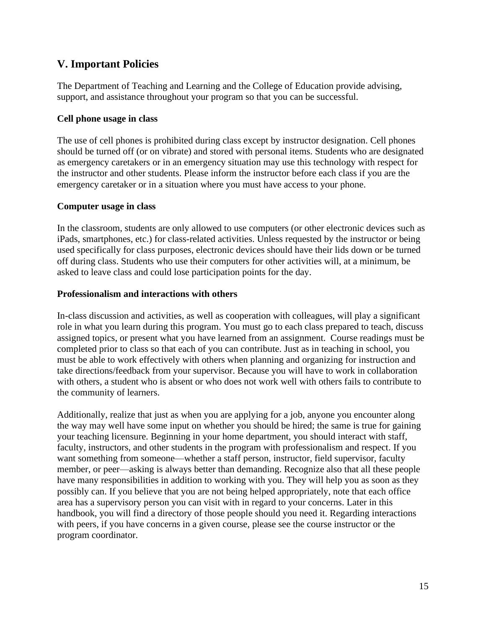## **V. Important Policies**

The Department of Teaching and Learning and the College of Education provide advising, support, and assistance throughout your program so that you can be successful.

#### **Cell phone usage in class**

The use of cell phones is prohibited during class except by instructor designation. Cell phones should be turned off (or on vibrate) and stored with personal items. Students who are designated as emergency caretakers or in an emergency situation may use this technology with respect for the instructor and other students. Please inform the instructor before each class if you are the emergency caretaker or in a situation where you must have access to your phone.

#### **Computer usage in class**

In the classroom, students are only allowed to use computers (or other electronic devices such as iPads, smartphones, etc.) for class-related activities. Unless requested by the instructor or being used specifically for class purposes, electronic devices should have their lids down or be turned off during class. Students who use their computers for other activities will, at a minimum, be asked to leave class and could lose participation points for the day.

#### **Professionalism and interactions with others**

In-class discussion and activities, as well as cooperation with colleagues, will play a significant role in what you learn during this program. You must go to each class prepared to teach, discuss assigned topics, or present what you have learned from an assignment. Course readings must be completed prior to class so that each of you can contribute. Just as in teaching in school, you must be able to work effectively with others when planning and organizing for instruction and take directions/feedback from your supervisor. Because you will have to work in collaboration with others, a student who is absent or who does not work well with others fails to contribute to the community of learners.

Additionally, realize that just as when you are applying for a job, anyone you encounter along the way may well have some input on whether you should be hired; the same is true for gaining your teaching licensure. Beginning in your home department, you should interact with staff, faculty, instructors, and other students in the program with professionalism and respect. If you want something from someone—whether a staff person, instructor, field supervisor, faculty member, or peer—asking is always better than demanding. Recognize also that all these people have many responsibilities in addition to working with you. They will help you as soon as they possibly can. If you believe that you are not being helped appropriately, note that each office area has a supervisory person you can visit with in regard to your concerns. Later in this handbook, you will find a directory of those people should you need it. Regarding interactions with peers, if you have concerns in a given course, please see the course instructor or the program coordinator.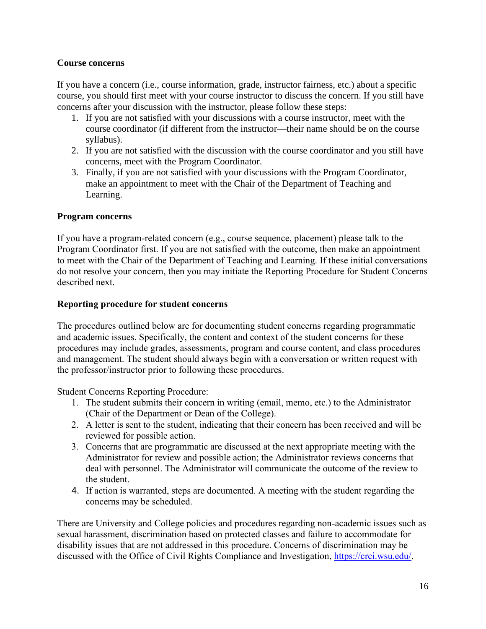#### **Course concerns**

If you have a concern (i.e., course information, grade, instructor fairness, etc.) about a specific course, you should first meet with your course instructor to discuss the concern. If you still have concerns after your discussion with the instructor, please follow these steps:

- 1. If you are not satisfied with your discussions with a course instructor, meet with the course coordinator (if different from the instructor—their name should be on the course syllabus).
- 2. If you are not satisfied with the discussion with the course coordinator and you still have concerns, meet with the Program Coordinator.
- 3. Finally, if you are not satisfied with your discussions with the Program Coordinator, make an appointment to meet with the Chair of the Department of Teaching and Learning.

#### **Program concerns**

If you have a program-related concern (e.g., course sequence, placement) please talk to the Program Coordinator first. If you are not satisfied with the outcome, then make an appointment to meet with the Chair of the Department of Teaching and Learning. If these initial conversations do not resolve your concern, then you may initiate the Reporting Procedure for Student Concerns described next.

#### **Reporting procedure for student concerns**

The procedures outlined below are for documenting student concerns regarding programmatic and academic issues. Specifically, the content and context of the student concerns for these procedures may include grades, assessments, program and course content, and class procedures and management. The student should always begin with a conversation or written request with the professor/instructor prior to following these procedures.

Student Concerns Reporting Procedure:

- 1. The student submits their concern in writing (email, memo, etc.) to the Administrator (Chair of the Department or Dean of the College).
- 2. A letter is sent to the student, indicating that their concern has been received and will be reviewed for possible action.
- 3. Concerns that are programmatic are discussed at the next appropriate meeting with the Administrator for review and possible action; the Administrator reviews concerns that deal with personnel. The Administrator will communicate the outcome of the review to the student.
- 4. If action is warranted, steps are documented. A meeting with the student regarding the concerns may be scheduled.

There are University and College policies and procedures regarding non-academic issues such as sexual harassment, discrimination based on protected classes and failure to accommodate for disability issues that are not addressed in this procedure. Concerns of discrimination may be discussed with the Office of Civil Rights Compliance and Investigation, [https://crci.wsu.edu/.](https://crci.wsu.edu/)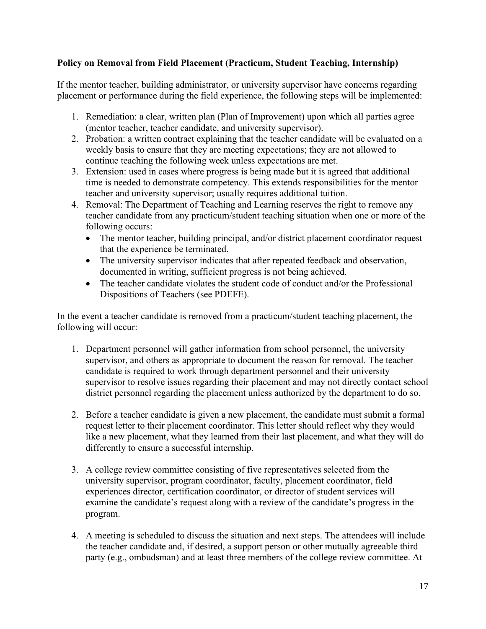#### **Policy on Removal from Field Placement (Practicum, Student Teaching, Internship)**

If the mentor teacher, building administrator, or university supervisor have concerns regarding placement or performance during the field experience, the following steps will be implemented:

- 1. Remediation: a clear, written plan (Plan of Improvement) upon which all parties agree (mentor teacher, teacher candidate, and university supervisor).
- 2. Probation: a written contract explaining that the teacher candidate will be evaluated on a weekly basis to ensure that they are meeting expectations; they are not allowed to continue teaching the following week unless expectations are met.
- 3. Extension: used in cases where progress is being made but it is agreed that additional time is needed to demonstrate competency. This extends responsibilities for the mentor teacher and university supervisor; usually requires additional tuition.
- 4. Removal: The Department of Teaching and Learning reserves the right to remove any teacher candidate from any practicum/student teaching situation when one or more of the following occurs:
	- The mentor teacher, building principal, and/or district placement coordinator request that the experience be terminated.
	- The university supervisor indicates that after repeated feedback and observation, documented in writing, sufficient progress is not being achieved.
	- The teacher candidate violates the student code of conduct and/or the Professional Dispositions of Teachers (see PDEFE).

In the event a teacher candidate is removed from a practicum/student teaching placement, the following will occur:

- 1. Department personnel will gather information from school personnel, the university supervisor, and others as appropriate to document the reason for removal. The teacher candidate is required to work through department personnel and their university supervisor to resolve issues regarding their placement and may not directly contact school district personnel regarding the placement unless authorized by the department to do so.
- 2. Before a teacher candidate is given a new placement, the candidate must submit a formal request letter to their placement coordinator. This letter should reflect why they would like a new placement, what they learned from their last placement, and what they will do differently to ensure a successful internship.
- 3. A college review committee consisting of five representatives selected from the university supervisor, program coordinator, faculty, placement coordinator, field experiences director, certification coordinator, or director of student services will examine the candidate's request along with a review of the candidate's progress in the program.
- 4. A meeting is scheduled to discuss the situation and next steps. The attendees will include the teacher candidate and, if desired, a support person or other mutually agreeable third party (e.g., ombudsman) and at least three members of the college review committee. At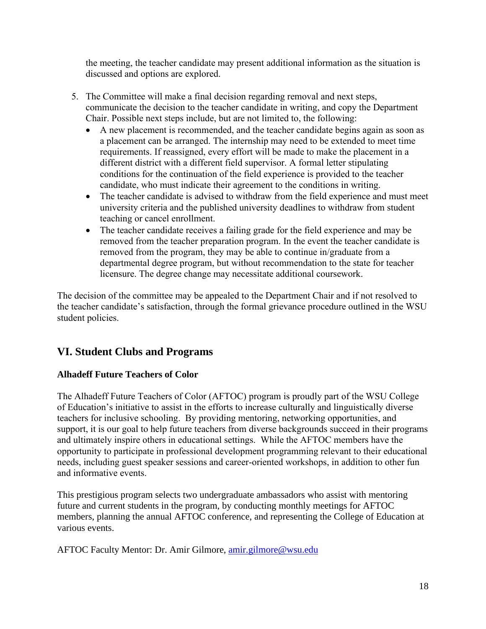the meeting, the teacher candidate may present additional information as the situation is discussed and options are explored.

- 5. The Committee will make a final decision regarding removal and next steps, communicate the decision to the teacher candidate in writing, and copy the Department Chair. Possible next steps include, but are not limited to, the following:
	- A new placement is recommended, and the teacher candidate begins again as soon as a placement can be arranged. The internship may need to be extended to meet time requirements. If reassigned, every effort will be made to make the placement in a different district with a different field supervisor. A formal letter stipulating conditions for the continuation of the field experience is provided to the teacher candidate, who must indicate their agreement to the conditions in writing.
	- The teacher candidate is advised to withdraw from the field experience and must meet university criteria and the published university deadlines to withdraw from student teaching or cancel enrollment.
	- The teacher candidate receives a failing grade for the field experience and may be removed from the teacher preparation program. In the event the teacher candidate is removed from the program, they may be able to continue in/graduate from a departmental degree program, but without recommendation to the state for teacher licensure. The degree change may necessitate additional coursework.

The decision of the committee may be appealed to the Department Chair and if not resolved to the teacher candidate's satisfaction, through the formal grievance procedure outlined in the WSU student policies.

# **VI. Student Clubs and Programs**

## **Alhadeff Future Teachers of Color**

The Alhadeff Future Teachers of Color (AFTOC) program is proudly part of the WSU College of Education's initiative to assist in the efforts to increase culturally and linguistically diverse teachers for inclusive schooling. By providing mentoring, networking opportunities, and support, it is our goal to help future teachers from diverse backgrounds succeed in their programs and ultimately inspire others in educational settings. While the AFTOC members have the opportunity to participate in professional development programming relevant to their educational needs, including guest speaker sessions and career-oriented workshops, in addition to other fun and informative events.

This prestigious program selects two undergraduate ambassadors who assist with mentoring future and current students in the program, by conducting monthly meetings for AFTOC members, planning the annual AFTOC conference, and representing the College of Education at various events.

AFTOC Faculty Mentor: Dr. Amir Gilmore, [amir.gilmore@wsu.edu](mailto:amir.gilmore@wsu.edu)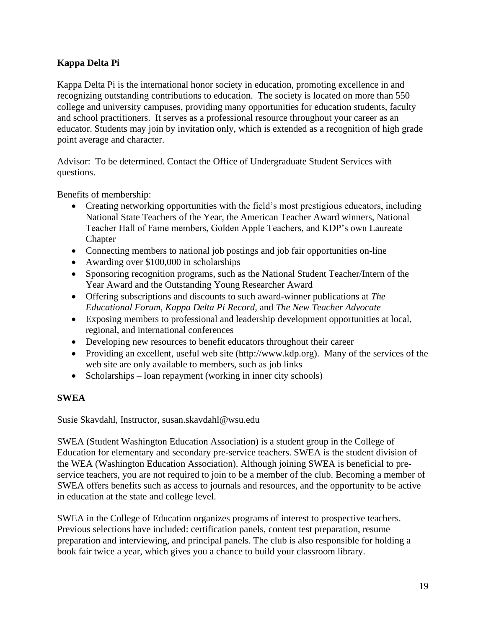### **Kappa Delta Pi**

Kappa Delta Pi is the international honor society in education, promoting excellence in and recognizing outstanding contributions to education. The society is located on more than 550 college and university campuses, providing many opportunities for education students, faculty and school practitioners. It serves as a professional resource throughout your career as an educator. Students may join by invitation only, which is extended as a recognition of high grade point average and character.

Advisor: To be determined. Contact the Office of Undergraduate Student Services with questions.

Benefits of membership:

- Creating networking opportunities with the field's most prestigious educators, including National State Teachers of the Year, the American Teacher Award winners, National Teacher Hall of Fame members, Golden Apple Teachers, and KDP's own Laureate **Chapter**
- Connecting members to national job postings and job fair opportunities on-line
- Awarding over \$100,000 in scholarships
- Sponsoring recognition programs, such as the National Student Teacher/Intern of the Year Award and the Outstanding Young Researcher Award
- Offering subscriptions and discounts to such award-winner publications at *The Educational Forum, Kappa Delta Pi Record,* and *The New Teacher Advocate*
- Exposing members to professional and leadership development opportunities at local, regional, and international conferences
- Developing new resources to benefit educators throughout their career
- Providing an excellent, useful web site (http://www.kdp.org). Many of the services of the web site are only available to members, such as job links
- Scholarships loan repayment (working in inner city schools)

#### **SWEA**

Susie Skavdahl, Instructor, susan.skavdahl@wsu.edu

SWEA (Student Washington Education Association) is a student group in the College of Education for elementary and secondary pre-service teachers. SWEA is the student division of the WEA (Washington Education Association). Although joining SWEA is beneficial to preservice teachers, you are not required to join to be a member of the club. Becoming a member of SWEA offers benefits such as access to journals and resources, and the opportunity to be active in education at the state and college level.

SWEA in the College of Education organizes programs of interest to prospective teachers. Previous selections have included: certification panels, content test preparation, resume preparation and interviewing, and principal panels. The club is also responsible for holding a book fair twice a year, which gives you a chance to build your classroom library.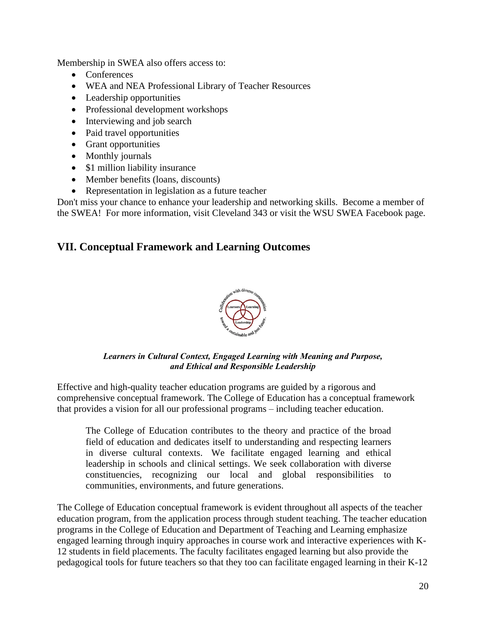Membership in SWEA also offers access to:

- Conferences
- WEA and NEA Professional Library of Teacher Resources
- Leadership opportunities
- Professional development workshops
- Interviewing and job search
- Paid travel opportunities
- Grant opportunities
- Monthly journals
- \$1 million liability insurance
- Member benefits (loans, discounts)
- Representation in legislation as a future teacher

Don't miss your chance to enhance your leadership and networking skills. Become a member of the SWEA! For more information, visit Cleveland 343 or visit the WSU SWEA Facebook page.

## **VII. Conceptual Framework and Learning Outcomes**



*Learners in Cultural Context, Engaged Learning with Meaning and Purpose, and Ethical and Responsible Leadership*

Effective and high-quality teacher education programs are guided by a rigorous and comprehensive conceptual framework. The College of Education has a conceptual framework that provides a vision for all our professional programs – including teacher education.

The College of Education contributes to the theory and practice of the broad field of education and dedicates itself to understanding and respecting learners in diverse cultural contexts. We facilitate engaged learning and ethical leadership in schools and clinical settings. We seek collaboration with diverse constituencies, recognizing our local and global responsibilities to communities, environments, and future generations.

The College of Education conceptual framework is evident throughout all aspects of the teacher education program, from the application process through student teaching. The teacher education programs in the College of Education and Department of Teaching and Learning emphasize engaged learning through inquiry approaches in course work and interactive experiences with K-12 students in field placements. The faculty facilitates engaged learning but also provide the pedagogical tools for future teachers so that they too can facilitate engaged learning in their K-12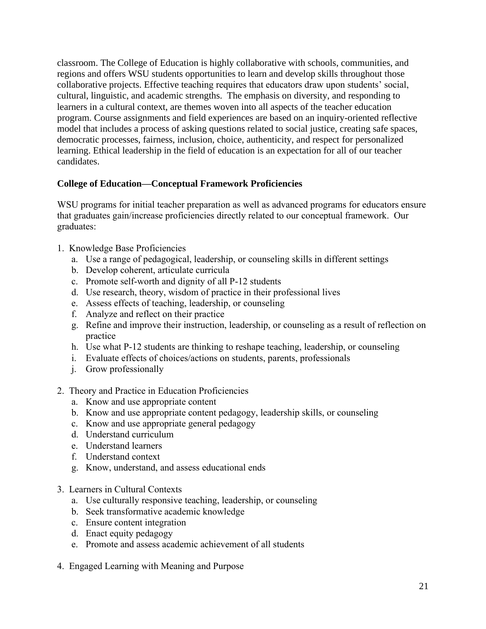classroom. The College of Education is highly collaborative with schools, communities, and regions and offers WSU students opportunities to learn and develop skills throughout those collaborative projects. Effective teaching requires that educators draw upon students' social, cultural, linguistic, and academic strengths. The emphasis on diversity, and responding to learners in a cultural context, are themes woven into all aspects of the teacher education program. Course assignments and field experiences are based on an inquiry-oriented reflective model that includes a process of asking questions related to social justice, creating safe spaces, democratic processes, fairness, inclusion, choice, authenticity, and respect for personalized learning. Ethical leadership in the field of education is an expectation for all of our teacher candidates.

#### **College of Education—Conceptual Framework Proficiencies**

WSU programs for initial teacher preparation as well as advanced programs for educators ensure that graduates gain/increase proficiencies directly related to our conceptual framework. Our graduates:

- 1. Knowledge Base Proficiencies
	- a. Use a range of pedagogical, leadership, or counseling skills in different settings
	- b. Develop coherent, articulate curricula
	- c. Promote self-worth and dignity of all P-12 students
	- d. Use research, theory, wisdom of practice in their professional lives
	- e. Assess effects of teaching, leadership, or counseling
	- f. Analyze and reflect on their practice
	- g. Refine and improve their instruction, leadership, or counseling as a result of reflection on practice
	- h. Use what P-12 students are thinking to reshape teaching, leadership, or counseling
	- i. Evaluate effects of choices/actions on students, parents, professionals
	- j. Grow professionally
- 2. Theory and Practice in Education Proficiencies
	- a. Know and use appropriate content
	- b. Know and use appropriate content pedagogy, leadership skills, or counseling
	- c. Know and use appropriate general pedagogy
	- d. Understand curriculum
	- e. Understand learners
	- f. Understand context
	- g. Know, understand, and assess educational ends
- 3. Learners in Cultural Contexts
	- a. Use culturally responsive teaching, leadership, or counseling
	- b. Seek transformative academic knowledge
	- c. Ensure content integration
	- d. Enact equity pedagogy
	- e. Promote and assess academic achievement of all students
- 4. Engaged Learning with Meaning and Purpose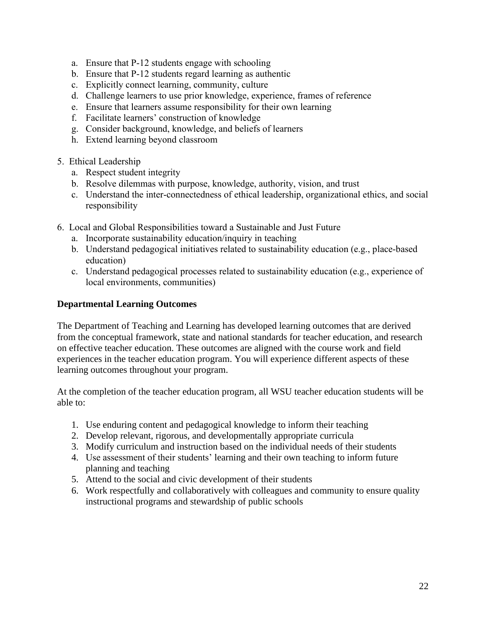- a. Ensure that P-12 students engage with schooling
- b. Ensure that P-12 students regard learning as authentic
- c. Explicitly connect learning, community, culture
- d. Challenge learners to use prior knowledge, experience, frames of reference
- e. Ensure that learners assume responsibility for their own learning
- f. Facilitate learners' construction of knowledge
- g. Consider background, knowledge, and beliefs of learners
- h. Extend learning beyond classroom
- 5. Ethical Leadership
	- a. Respect student integrity
	- b. Resolve dilemmas with purpose, knowledge, authority, vision, and trust
	- c. Understand the inter-connectedness of ethical leadership, organizational ethics, and social responsibility
- 6. Local and Global Responsibilities toward a Sustainable and Just Future
	- a. Incorporate sustainability education/inquiry in teaching
	- b. Understand pedagogical initiatives related to sustainability education (e.g., place-based education)
	- c. Understand pedagogical processes related to sustainability education (e.g., experience of local environments, communities)

#### **Departmental Learning Outcomes**

The Department of Teaching and Learning has developed learning outcomes that are derived from the conceptual framework, state and national standards for teacher education, and research on effective teacher education. These outcomes are aligned with the course work and field experiences in the teacher education program. You will experience different aspects of these learning outcomes throughout your program.

At the completion of the teacher education program, all WSU teacher education students will be able to:

- 1. Use enduring content and pedagogical knowledge to inform their teaching
- 2. Develop relevant, rigorous, and developmentally appropriate curricula
- 3. Modify curriculum and instruction based on the individual needs of their students
- 4. Use assessment of their students' learning and their own teaching to inform future planning and teaching
- 5. Attend to the social and civic development of their students
- 6. Work respectfully and collaboratively with colleagues and community to ensure quality instructional programs and stewardship of public schools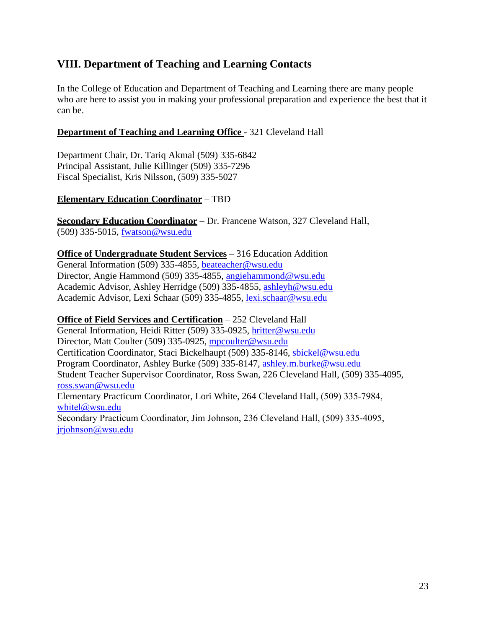# **VIII. Department of Teaching and Learning Contacts**

In the College of Education and Department of Teaching and Learning there are many people who are here to assist you in making your professional preparation and experience the best that it can be.

#### **Department of Teaching and Learning Office** - 321 Cleveland Hall

Department Chair, Dr. Tariq Akmal (509) 335-6842 Principal Assistant, Julie Killinger (509) 335-7296 Fiscal Specialist, Kris Nilsson, (509) 335-5027

#### **Elementary Education Coordinator** – TBD

**Secondary Education Coordinator** – Dr. Francene Watson, 327 Cleveland Hall, (509) 335-5015, [fwatson@wsu.edu](mailto:fwatson@wsu.edu) 

#### **Office of Undergraduate Student Services** – 316 Education Addition

General Information (509) 335-4855, [beateacher@wsu.edu](mailto:beateacher@wsu.edu) Director, Angie Hammond (509) 335-4855, [angiehammond@wsu.edu](mailto:angiehammond@wsu.edu) Academic Advisor, Ashley Herridge (509) 335-4855, [ashleyh@wsu.edu](mailto:ashleyh@wsu.edu) Academic Advisor, Lexi Schaar (509) 335-4855, [lexi.schaar@wsu.edu](mailto:lexi.schaar@wsu.edu)

#### **Office of Field Services and Certification** – 252 Cleveland Hall

General Information, Heidi Ritter (509) 335-0925, [hritter@wsu.edu](mailto:hritter@wsu.edu) Director, Matt Coulter (509) 335-0925, [mpcoulter@wsu.edu](mailto:mpcoulter@wsu.edu) Certification Coordinator, Staci Bickelhaupt (509) 335-8146, [sbickel@wsu.edu](mailto:sbickel@wsu.edu) Program Coordinator, Ashley Burke (509) 335-8147, [ashley.m.burke@wsu.edu](mailto:ashley.m.burke@wsu.edu) Student Teacher Supervisor Coordinator, Ross Swan, 226 Cleveland Hall, (509) 335-4095, [ross.swan@wsu.edu](mailto:ross.swan@wsu.edu) Elementary Practicum Coordinator, Lori White, 264 Cleveland Hall, (509) 335-7984, [whitel@wsu.edu](mailto:whitel@wsu.edu) Secondary Practicum Coordinator, Jim Johnson, 236 Cleveland Hall, (509) 335-4095, [jrjohnson@wsu.edu](mailto:jrjohnson@wsu.edu)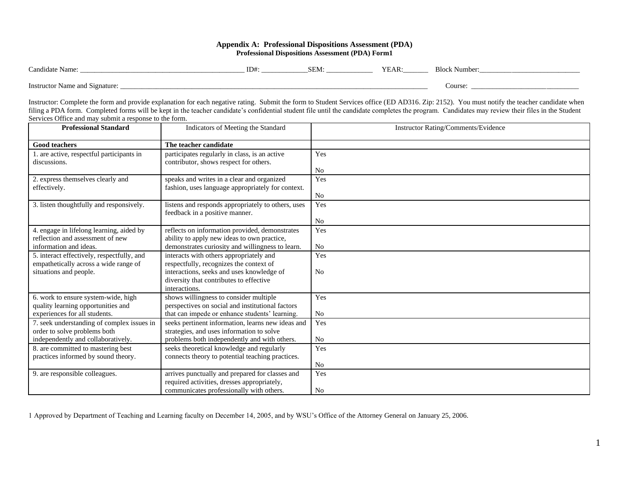#### **Appendix A: Professional Dispositions Assessment (PDA) Professional Dispositions Assessment (PDA) Form1**

| $\Gamma$ and idate<br>Name.                                    | —<br>⊥D# | n m<br>SEM. | VL<br>. .<br>I EAN. | Number |
|----------------------------------------------------------------|----------|-------------|---------------------|--------|
| $\sim$<br>Instructor<br>$\sim$ Name and $\sim$ .<br>signature: |          |             |                     | Course |

Instructor: Complete the form and provide explanation for each negative rating. Submit the form to Student Services office (ED AD316. Zip: 2152). You must notify the teacher candidate when filing a PDA form. Completed forms will be kept in the teacher candidate's confidential student file until the candidate completes the program. Candidates may review their files in the Student Services Office and may submit a response to the form.

| <b>Professional Standard</b>                                                        | Indicators of Meeting the Standard                                                              | Instructor Rating/Comments/Evidence |
|-------------------------------------------------------------------------------------|-------------------------------------------------------------------------------------------------|-------------------------------------|
| <b>Good teachers</b>                                                                | The teacher candidate                                                                           |                                     |
| 1. are active, respectful participants in                                           | participates regularly in class, is an active                                                   | Yes                                 |
| discussions.                                                                        | contributor, shows respect for others.                                                          |                                     |
|                                                                                     |                                                                                                 | No<br>Yes                           |
| 2. express themselves clearly and<br>effectively.                                   | speaks and writes in a clear and organized<br>fashion, uses language appropriately for context. |                                     |
|                                                                                     |                                                                                                 | No                                  |
| 3. listen thoughtfully and responsively.                                            | listens and responds appropriately to others, uses                                              | Yes                                 |
|                                                                                     | feedback in a positive manner.                                                                  |                                     |
|                                                                                     |                                                                                                 | N <sub>0</sub>                      |
| 4. engage in lifelong learning, aided by<br>reflection and assessment of new        | reflects on information provided, demonstrates                                                  | Yes                                 |
| information and ideas.                                                              | ability to apply new ideas to own practice,<br>demonstrates curiosity and willingness to learn. | No                                  |
|                                                                                     |                                                                                                 |                                     |
| 5. interact effectively, respectfully, and<br>empathetically across a wide range of | interacts with others appropriately and<br>respectfully, recognizes the context of              | Yes                                 |
| situations and people.                                                              | interactions, seeks and uses knowledge of                                                       | N <sub>0</sub>                      |
|                                                                                     | diversity that contributes to effective                                                         |                                     |
|                                                                                     | interactions.                                                                                   |                                     |
| 6. work to ensure system-wide, high                                                 | shows willingness to consider multiple                                                          | Yes                                 |
| quality learning opportunities and                                                  | perspectives on social and institutional factors                                                |                                     |
| experiences for all students.                                                       | that can impede or enhance students' learning.                                                  | No                                  |
| 7. seek understanding of complex issues in                                          | seeks pertinent information, learns new ideas and                                               | Yes                                 |
| order to solve problems both                                                        | strategies, and uses information to solve                                                       |                                     |
| independently and collaboratively.                                                  | problems both independently and with others.                                                    | No                                  |
| 8. are committed to mastering best                                                  | seeks theoretical knowledge and regularly                                                       | Yes                                 |
| practices informed by sound theory.                                                 | connects theory to potential teaching practices.                                                |                                     |
|                                                                                     |                                                                                                 | No                                  |
| 9. are responsible colleagues.                                                      | arrives punctually and prepared for classes and<br>required activities, dresses appropriately,  | Yes                                 |
|                                                                                     | communicates professionally with others.                                                        | No                                  |

1 Approved by Department of Teaching and Learning faculty on December 14, 2005, and by WSU's Office of the Attorney General on January 25, 2006.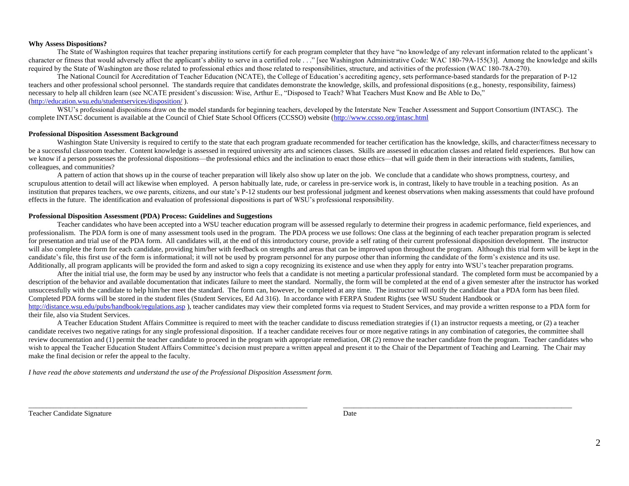#### **Why Assess Dispositions?**

The State of Washington requires that teacher preparing institutions certify for each program completer that they have "no knowledge of any relevant information related to the applicant's character or fitness that would adversely affect the applicant's ability to serve in a certified role . . ." [see Washington Administrative Code: WAC 180-79A-155(3)]. Among the knowledge and skills required by the State of Washington are those related to professional ethics and those related to responsibilities, structure, and activities of the profession (WAC 180-78A-270).

The National Council for Accreditation of Teacher Education (NCATE), the College of Education's accrediting agency, sets performance-based standards for the preparation of P-12 teachers and other professional school personnel. The standards require that candidates demonstrate the knowledge, skills, and professional dispositions (e.g., honesty, responsibility, fairness) necessary to help all children learn (see NCATE president's discussion: Wise, Arthur E., "Disposed to Teach? What Teachers Must Know and Be Able to Do," [\(http://education.wsu.edu/studentservices/disposition/](http://education.wsu.edu/studentservices/disposition/) ).

WSU's professional dispositions draw on the model standards for beginning teachers, developed by the Interstate New Teacher Assessment and Support Consortium (INTASC). The complete INTASC document is available at the Council of Chief State School Officers (CCSSO) website [\(http://www.ccsso.org/intasc.html](http://www.ccsso.org/intasc.html) 

#### **Professional Disposition Assessment Background**

Washington State University is required to certify to the state that each program graduate recommended for teacher certification has the knowledge, skills, and character/fitness necessary to be a successful classroom teacher. Content knowledge is assessed in required university arts and sciences classes. Skills are assessed in education classes and related field experiences. But how can we know if a person possesses the professional dispositions—the professional ethics and the inclination to enact those ethics—that will guide them in their interactions with students, families, colleagues, and communities?

A pattern of action that shows up in the course of teacher preparation will likely also show up later on the job. We conclude that a candidate who shows promptness, courtesy, and scrupulous attention to detail will act likewise when employed. A person habitually late, rude, or careless in pre-service work is, in contrast, likely to have trouble in a teaching position. As an institution that prepares teachers, we owe parents, citizens, and our state's P-12 students our best professional judgment and keenest observations when making assessments that could have profound effects in the future. The identification and evaluation of professional dispositions is part of WSU's professional responsibility.

#### **Professional Disposition Assessment (PDA) Process: Guidelines and Suggestions**

Teacher candidates who have been accepted into a WSU teacher education program will be assessed regularly to determine their progress in academic performance, field experiences, and professionalism. The PDA form is one of many assessment tools used in the program. The PDA process we use follows: One class at the beginning of each teacher preparation program is selected for presentation and trial use of the PDA form. All candidates will, at the end of this introductory course, provide a self rating of their current professional disposition development. The instructor will also complete the form for each candidate, providing him/her with feedback on strengths and areas that can be improved upon throughout the program. Although this trial form will be kept in the candidate's file, this first use of the form is informational; it will not be used by program personnel for any purpose other than informing the candidate of the form's existence and its use. Additionally, all program applicants will be provided the form and asked to sign a copy recognizing its existence and use when they apply for entry into WSU's teacher preparation programs.

After the initial trial use, the form may be used by any instructor who feels that a candidate is not meeting a particular professional standard. The completed form must be accompanied by a description of the behavior and available documentation that indicates failure to meet the standard. Normally, the form will be completed at the end of a given semester after the instructor has worked unsuccessfully with the candidate to help him/her meet the standard. The form can, however, be completed at any time. The instructor will notify the candidate that a PDA form has been filed. Completed PDA forms will be stored in the student files (Student Services, Ed Ad 316). In accordance with FERPA Student Rights (see WSU Student Handbook or <http://distance.wsu.edu/pubs/handbook/regulations.asp>), teacher candidates may view their completed forms via request to Student Services, and may provide a written response to a PDA form for their file, also via Student Services.

A Teacher Education Student Affairs Committee is required to meet with the teacher candidate to discuss remediation strategies if (1) an instructor requests a meeting, or (2) a teacher candidate receives two negative ratings for any single professional disposition. If a teacher candidate receives four or more negative ratings in any combination of categories, the committee shall review documentation and (1) permit the teacher candidate to proceed in the program with appropriate remediation, OR (2) remove the teacher candidate from the program. Teacher candidates who wish to appeal the Teacher Education Student Affairs Committee's decision must prepare a written appeal and present it to the Chair of the Department of Teaching and Learning. The Chair may make the final decision or refer the appeal to the faculty.

 $\Box$  . The contribution of the contribution of the contribution of the contribution of the contribution of the contribution of the contribution of the contribution of the contribution of the contribution of the contributi

*I have read the above statements and understand the use of the Professional Disposition Assessment form.*

Teacher Candidate Signature Date Date of the United States of the Date Date of the Date of the United States of the United States of the United States of the United States of the United States of the United States of the U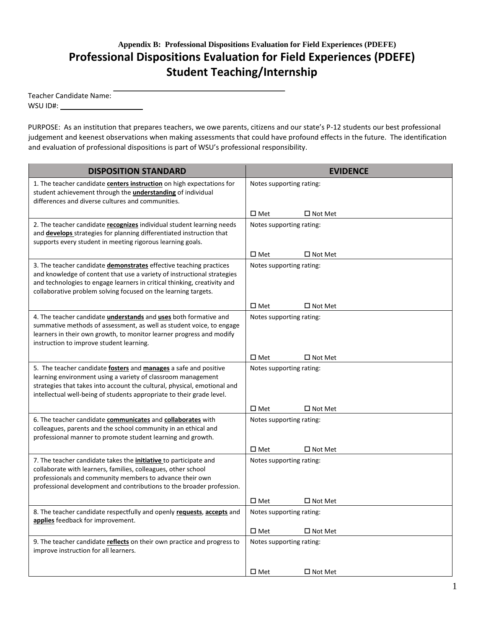# **Appendix B: Professional Dispositions Evaluation for Field Experiences (PDEFE) Professional Dispositions Evaluation for Field Experiences (PDEFE) Student Teaching/Internship**

| <b>Teacher Candidate Name:</b> |  |
|--------------------------------|--|
| WSU ID#:                       |  |

PURPOSE: As an institution that prepares teachers, we owe parents, citizens and our state's P-12 students our best professional judgement and keenest observations when making assessments that could have profound effects in the future. The identification and evaluation of professional dispositions is part of WSU's professional responsibility.

| <b>DISPOSITION STANDARD</b>                                                                                                                                                                                                                                                                         | <b>EVIDENCE</b>          |                   |  |
|-----------------------------------------------------------------------------------------------------------------------------------------------------------------------------------------------------------------------------------------------------------------------------------------------------|--------------------------|-------------------|--|
| 1. The teacher candidate centers instruction on high expectations for<br>student achievement through the <i>understanding</i> of individual<br>differences and diverse cultures and communities.                                                                                                    | Notes supporting rating: |                   |  |
|                                                                                                                                                                                                                                                                                                     | $\square$ Met            | $\square$ Not Met |  |
| 2. The teacher candidate recognizes individual student learning needs<br>and <b>develops</b> strategies for planning differentiated instruction that<br>supports every student in meeting rigorous learning goals.                                                                                  | Notes supporting rating: |                   |  |
|                                                                                                                                                                                                                                                                                                     | $\square$ Met            | $\square$ Not Met |  |
| 3. The teacher candidate demonstrates effective teaching practices<br>and knowledge of content that use a variety of instructional strategies<br>and technologies to engage learners in critical thinking, creativity and<br>collaborative problem solving focused on the learning targets.         | Notes supporting rating: |                   |  |
|                                                                                                                                                                                                                                                                                                     | $\square$ Met            | $\square$ Not Met |  |
| 4. The teacher candidate <i>understands</i> and <i>uses</i> both formative and<br>summative methods of assessment, as well as student voice, to engage<br>learners in their own growth, to monitor learner progress and modify<br>instruction to improve student learning.                          | Notes supporting rating: |                   |  |
|                                                                                                                                                                                                                                                                                                     | $\square$ Met            | $\square$ Not Met |  |
| 5. The teacher candidate <b>fosters</b> and <b>manages</b> a safe and positive<br>learning environment using a variety of classroom management<br>strategies that takes into account the cultural, physical, emotional and<br>intellectual well-being of students appropriate to their grade level. | Notes supporting rating: |                   |  |
|                                                                                                                                                                                                                                                                                                     | $\square$ Met            | $\Box$ Not Met    |  |
| 6. The teacher candidate <b>communicates</b> and <b>collaborates</b> with<br>colleagues, parents and the school community in an ethical and<br>professional manner to promote student learning and growth.                                                                                          | Notes supporting rating: |                   |  |
|                                                                                                                                                                                                                                                                                                     | $\square$ Met            | $\Box$ Not Met    |  |
| 7. The teacher candidate takes the <i>initiative</i> to participate and<br>collaborate with learners, families, colleagues, other school<br>professionals and community members to advance their own<br>professional development and contributions to the broader profession.                       | Notes supporting rating: |                   |  |
|                                                                                                                                                                                                                                                                                                     | $\square$ Met            | $\square$ Not Met |  |
| 8. The teacher candidate respectfully and openly requests, accepts and<br>applies feedback for improvement.                                                                                                                                                                                         | Notes supporting rating: |                   |  |
|                                                                                                                                                                                                                                                                                                     | $\square$ Met            | $\Box$ Not Met    |  |
| 9. The teacher candidate reflects on their own practice and progress to<br>improve instruction for all learners.                                                                                                                                                                                    | Notes supporting rating: |                   |  |
|                                                                                                                                                                                                                                                                                                     | $\square$ Met            | $\square$ Not Met |  |